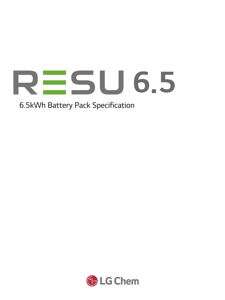

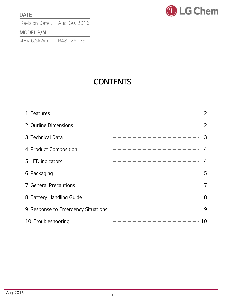#### DATE

Revision Date: Aug. 30. 2016

### MODEL P/N

48V 6.5kWh : R48126P3S



# **CONTENTS**

| 1. Features               |                |
|---------------------------|----------------|
| 2. Outline Dimensions     | 2              |
| 3. Technical Data         | 3              |
| 4. Product Composition    | 4              |
| 5. LED indicators         | $\overline{4}$ |
| 6. Packaging              | 5              |
| 7. General Precautions    |                |
| 8. Battery Handling Guide | 8              |
|                           |                |
| 10. Troubleshooting       |                |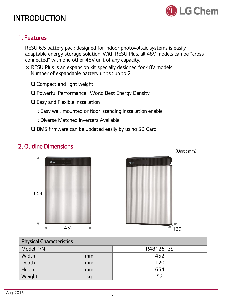### 1. Features

RESU 6.5 battery pack designed for indoor photovoltaic systems is easily adaptable energy storage solution. With RESU Plus, all 48V models can be "crossconnected" with one other 48V unit of any capacity.

- ※ RESU Plus is an expansion kit specially designed for 48V models. Number of expandable battery units : up to 2
	- □ Compact and light weight
	- □ Powerful Performance : World Best Energy Density
	- $\Box$  Easy and Flexible installation
		- : Easy wall-mounted or floor-standing installation enable
		- : Diverse Matched Inverters Available
	- □ BMS firmware can be updated easily by using SD Card

### 2. Outline Dimensions



| Model P/N |    | R48126P3S |
|-----------|----|-----------|
| Width     | mm | 452       |
| Depth     | mm | 120       |
| Height    | mm | 654       |
| Weight    | кq | 52        |
|           |    |           |

**ODLG** 

654





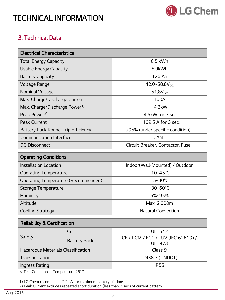

#### Preliminary TECHNICAL INFORMATION

### 3. Technical Data

| <b>Electrical Characteristics</b>         |                                  |  |  |  |
|-------------------------------------------|----------------------------------|--|--|--|
| <b>Total Energy Capacity</b>              | $6.5$ kWh                        |  |  |  |
| <b>Usable Energy Capacity</b>             | 5.9kWh                           |  |  |  |
| <b>Battery Capacity</b>                   | 126 Ah                           |  |  |  |
| Voltage Range                             | 42.0~58.8 $V_{DC}$               |  |  |  |
| Nominal Voltage                           | $51.8V_{DC}$                     |  |  |  |
| Max. Charge/Discharge Current             | 100A                             |  |  |  |
| Max. Charge/Discharge Power <sup>1)</sup> | $4.2$ kW                         |  |  |  |
| Peak Power <sup>2)</sup>                  | 4.6kW for 3 sec.                 |  |  |  |
| <b>Peak Current</b>                       | 109.5 A for 3 sec.               |  |  |  |
| Battery Pack Round-Trip Efficiency        | >95% (under specific condition)  |  |  |  |
| <b>Communication Interface</b>            | <b>CAN</b>                       |  |  |  |
| <b>DC Disconnect</b>                      | Circuit Breaker, Contactor, Fuse |  |  |  |

#### Operating Conditions

| <b>Installation Location</b>        | Indoor(Wall-Mounted) / Outdoor |
|-------------------------------------|--------------------------------|
| <b>Operating Temperature</b>        | $-10 - 45^{\circ}$ C           |
| Operating Temperature (Recommended) | $15 - 30^{\circ}$ C            |
| Storage Temperature                 | $-30 - 60^{\circ}$ C           |
| Humidity                            | 5%~95%                         |
| Altitude                            | Max. 2,000m                    |
| <b>Cooling Strategy</b>             | <b>Natural Convection</b>      |

#### Reliability & Certification Safety Cell UL1642 Battery Pack **CE / RCM / FCC / TUV (IEC 62619) /** UL1973 Hazardous Materials Classification Class 9 Transportation UN38.3 (UNDOT) Ingress Rating **Ingress Rating** IP55

※ Test Conditions - Temperature 25°C

1) LG Chem recommends 2.2kW for maximum battery lifetime

2) Peak Current excludes repeated short duration (less than 3 sec.) of current pattern.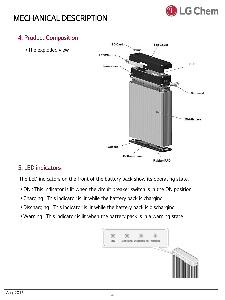

### 4. Product Composition

**The exploded view** 



### 5. LED indicators

The LED indicators on the front of the battery pack show its operating state:

- ON : This indicator is lit when the circuit breaker switch is in the ON position.
- Charging : This indicator is lit while the battery pack is charging.
- Discharging : This indicator is lit while the battery pack is discharging.
- Warning : This indicator is lit when the battery pack is in a warning state.

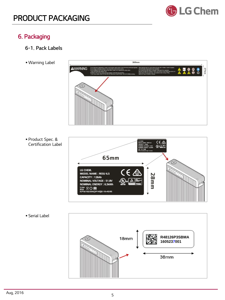

### 6. Packaging

- 6-1. Pack Labels
- Warning Label

369mm **AWARNING E289** Á 27mm

 Product Spec. & Certification Label



Serial Label

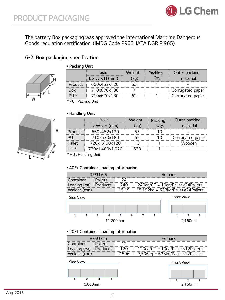

The battery Box packaging was approved the International Maritime Dangerous Goods regulation certification. (IMDG Code P903, IATA DGR PI965)

#### 6-2. Box packaging specification



|            | <b>Size</b>                | Weight | Packing | Outer packing    |
|------------|----------------------------|--------|---------|------------------|
|            | $L \times W \times H$ (mm) | (kq)   | Qty.    | material         |
| Product    | 660x452x120                | 55     |         |                  |
| Box        | 710x670x180                |        |         | Corrugated paper |
| $P \cup$ * | 710x670x180                | 62     |         | Corrugated paper |

\* PU : Packing Unit

Packing Unit



#### Handling Unit

|         | <b>Size</b>                | Weight | Packing | Outer packing    |
|---------|----------------------------|--------|---------|------------------|
|         | $L \times W \times H$ (mm) | (kq)   | Qty.    | material         |
| Product | 660x452x120                | 55     | 10      |                  |
| PU      | 710x670x180                | 62     | 10      | Corrugated paper |
| Pallet  | 720x1,400x120              | 13     |         | Wooden           |
| HU *    | 720x1,400x1,020            | 633    |         |                  |

\* HU : Handling Unit

#### 40Ft Container Loading Information

|                       | RESU 6.5       |      | Remark                                      |
|-----------------------|----------------|------|---------------------------------------------|
| Container             | <b>Pallets</b> |      |                                             |
| Loading (ea) Products |                | -240 | $240$ ea/CT = 10ea/Pallet×24Pallets         |
| Weight (ton)          |                |      | $15.19$   15,192kg = 633kg/Pallet×24Pallets |



#### 20Ft Container Loading Information

|              | RESU <sub>6.5</sub> |       | Remark                                    |  |
|--------------|---------------------|-------|-------------------------------------------|--|
| Container    | Pallets             | 12    |                                           |  |
| Loading (ea) | Products            | 120   | $120ea/CT = 10ea/Pallet \times 12Pallets$ |  |
| Weight (ton) |                     | 7.596 | $7,596$ kg = 633kg/Pallet×12Pallets       |  |
| Side View    |                     |       | <b>Front View</b>                         |  |
|              |                     |       |                                           |  |
|              |                     |       |                                           |  |
| <b>C</b>     | 2                   |       |                                           |  |

5,600mm 2,160mm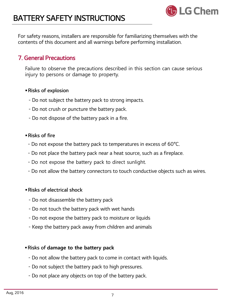

For safety reasons, installers are responsible for familiarizing themselves with the contents of this document and all warnings before performing installation.

### 7. General Precautions

Failure to observe the precautions described in this section can cause serious injury to persons or damage to property.

#### Risks of explosion

- Do not subject the battery pack to strong impacts.
- Do not crush or puncture the battery pack.
- Do not dispose of the battery pack in a fire.

#### Risks of fire

- Do not expose the battery pack to temperatures in excess of 60°C.
- Do not place the battery pack near a heat source, such as a fireplace.
- Do not expose the battery pack to direct sunlight.
- Do not allow the battery connectors to touch conductive objects such as wires.

#### Risks of electrical shock

- Do not disassemble the battery pack
- Do not touch the battery pack with wet hands
- Do not expose the battery pack to moisture or liquids
- Keep the battery pack away from children and animals

#### Risks of damage to the battery pack

- Do not allow the battery pack to come in contact with liquids.
- Do not subject the battery pack to high pressures.
- Do not place any objects on top of the battery pack.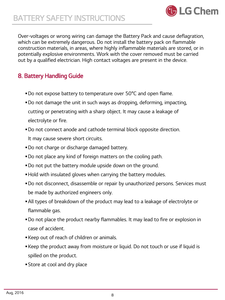

Over-voltages or wrong wiring can damage the Battery Pack and cause deflagration, which can be extremely dangerous. Do not install the battery pack on flammable construction materials, in areas, where highly inflammable materials are stored, or in potentially explosive environments. Work with the cover removed must be carried out by a qualified electrician. High contact voltages are present in the device.

### 8. Battery Handling Guide

- Do not expose battery to temperature over 50°C and open flame.
- Do not damage the unit in such ways as dropping, deforming, impacting, cutting or penetrating with a sharp object. It may cause a leakage of electrolyte or fire.
- Do not connect anode and cathode terminal block opposite direction. It may cause severe short circuits.
- Do not charge or discharge damaged battery.
- Do not place any kind of foreign matters on the cooling path.
- Do not put the battery module upside down on the ground.
- Hold with insulated gloves when carrying the battery modules.
- Do not disconnect, disassemble or repair by unauthorized persons. Services must be made by authorized engineers only.
- All types of breakdown of the product may lead to a leakage of electrolyte or flammable gas.
- Do not place the product nearby flammables. It may lead to fire or explosion in case of accident.
- Keep out of reach of children or animals.
- Keep the product away from moisture or liquid. Do not touch or use if liquid is spilled on the product.
- Store at cool and dry place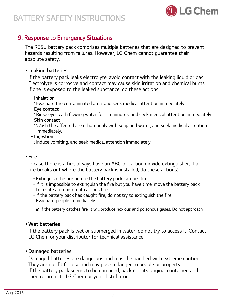

### 9. Response to Emergency Situations

The RESU battery pack comprises multiple batteries that are designed to prevent hazards resulting from failures. However, LG Chem cannot guarantee their absolute safety.

### Leaking batteries

If the battery pack leaks electrolyte, avoid contact with the leaking liquid or gas. Electrolyte is corrosive and contact may cause skin irritation and chemical burns. If one is exposed to the leaked substance, do these actions:

#### - Inhalation

: Evacuate the contaminated area, and seek medical attention immediately.

#### - Eye contact

: Rinse eyes with flowing water for 15 minutes, and seek medical attention immediately.

#### - Skin contact

: Wash the affected area thoroughly with soap and water, and seek medical attention immediately.

#### - Ingestion

: Induce vomiting, and seek medical attention immediately.

#### Fire

In case there is a fire, always have an ABC or carbon dioxide extinguisher. If a fire breaks out where the battery pack is installed, do these actions:

- Extinguish the fire before the battery pack catches fire.
- If it is impossible to extinguish the fire but you have time, move the battery pack to a safe area before it catches fire.
- If the battery pack has caught fire, do not try to extinguish the fire. Evacuate people immediately.

※ If the battery catches fire, it will produce noxious and poisonous gases. Do not approach.

#### Wet batteries

If the battery pack is wet or submerged in water, do not try to access it. Contact LG Chem or your distributor for technical assistance.

#### Damaged batteries

Damaged batteries are dangerous and must be handled with extreme caution. They are not fit for use and may pose a danger to people or property. If the battery pack seems to be damaged, pack it in its original container, and then return it to LG Chem or your distributor.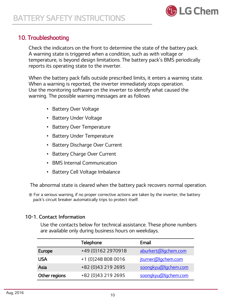

## 10. Troubleshooting

Check the indicators on the front to determine the state of the battery pack. A warning state is triggered when a condition, such as with voltage or temperature, is beyond design limitations. The battery pack's BMS periodically reports its operating state to the inverter.

When the battery pack falls outside prescribed limits, it enters a warning state. When a warning is reported, the inverter immediately stops operation. Use the monitoring software on the inverter to identify what caused the warning. The possible warning messages are as follows

- Battery Over Voltage
- Battery Under Voltage
- Battery Over Temperature
- Battery Under Temperature
- Battery Discharge Over Current
- Battery Charge Over Current
- BMS Internal Communication
- Battery Cell Voltage Imbalance

The abnormal state is cleared when the battery pack recovers normal operation.

※ For a serious warning, if no proper corrective actions are taken by the inverter, the battery pack's circuit breaker automatically trips to protect itself.

### 10-1. Contact Information

Use the contacts below for technical assistance. These phone numbers are available only during business hours on weekdays.

|               | <b>Telephone</b>     | Email               |
|---------------|----------------------|---------------------|
| <b>Europe</b> | +49 (0) 162 2970 918 | aburkert@lgchem.com |
| USA           | +1 (0) 248 808 0016  | jturner@lgchem.com  |
| Asia          | +82 (0)43 219 2695   | soongkyu@lgchem.com |
| Other regions | +82 (0)43 219 2695   | soongkyu@lgchem.com |